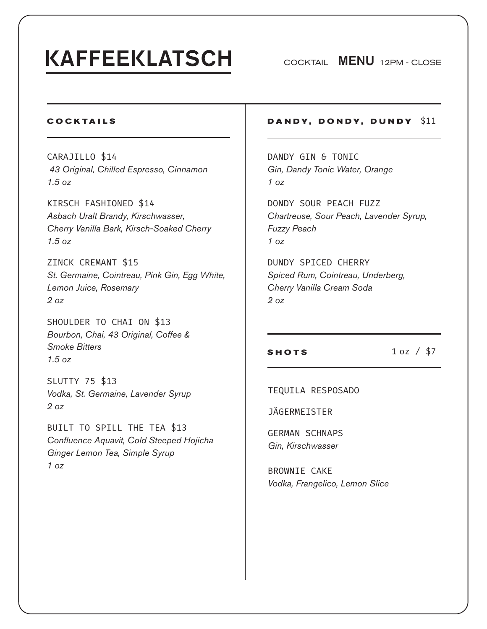# **KAFFEEKLATSCH**

COCKTAIL MENU 12PM - CLOSE

## **COCKTAILS**

CARAJILLO \$14  *43 Original, Chilled Espresso, Cinnamon 1.5 oz*

KIRSCH FASHIONED \$14 *Asbach Uralt Brandy, Kirschwasser, Cherry Vanilla Bark, Kirsch-Soaked Cherry 1.5 oz*

ZINCK CREMANT \$15 *St. Germaine, Cointreau, Pink Gin, Egg White, Lemon Juice, Rosemary 2 oz*

SHOULDER TO CHAI ON \$13 *Bourbon, Chai, 43 Original, Coffee & Smoke Bitters 1.5 oz*

SLUTTY 75 \$13 *Vodka, St. Germaine, Lavender Syrup 2 oz*

BUILT TO SPILL THE TEA \$13 *Confluence Aquavit, Cold Steeped Hojicha Ginger Lemon Tea, Simple Syrup 1 oz* 

## **DANDY, DONDY, DUNDY** \$11

DANDY GIN & TONIC *Gin, Dandy Tonic Water, Orange 1 oz* 

DONDY SOUR PEACH FUZZ *Chartreuse, Sour Peach, Lavender Syrup, Fuzzy Peach 1 oz* 

DUNDY SPICED CHERRY *Spiced Rum, Cointreau, Underberg, Cherry Vanilla Cream Soda 2 oz*

**SHOTS** 1 oz / \$7

TEQUILA RESPOSADO

JÄGERMEISTER

GERMAN SCHNAPS *Gin, Kirschwasser*

BROWNIE CAKE *Vodka, Frangelico, Lemon Slice*